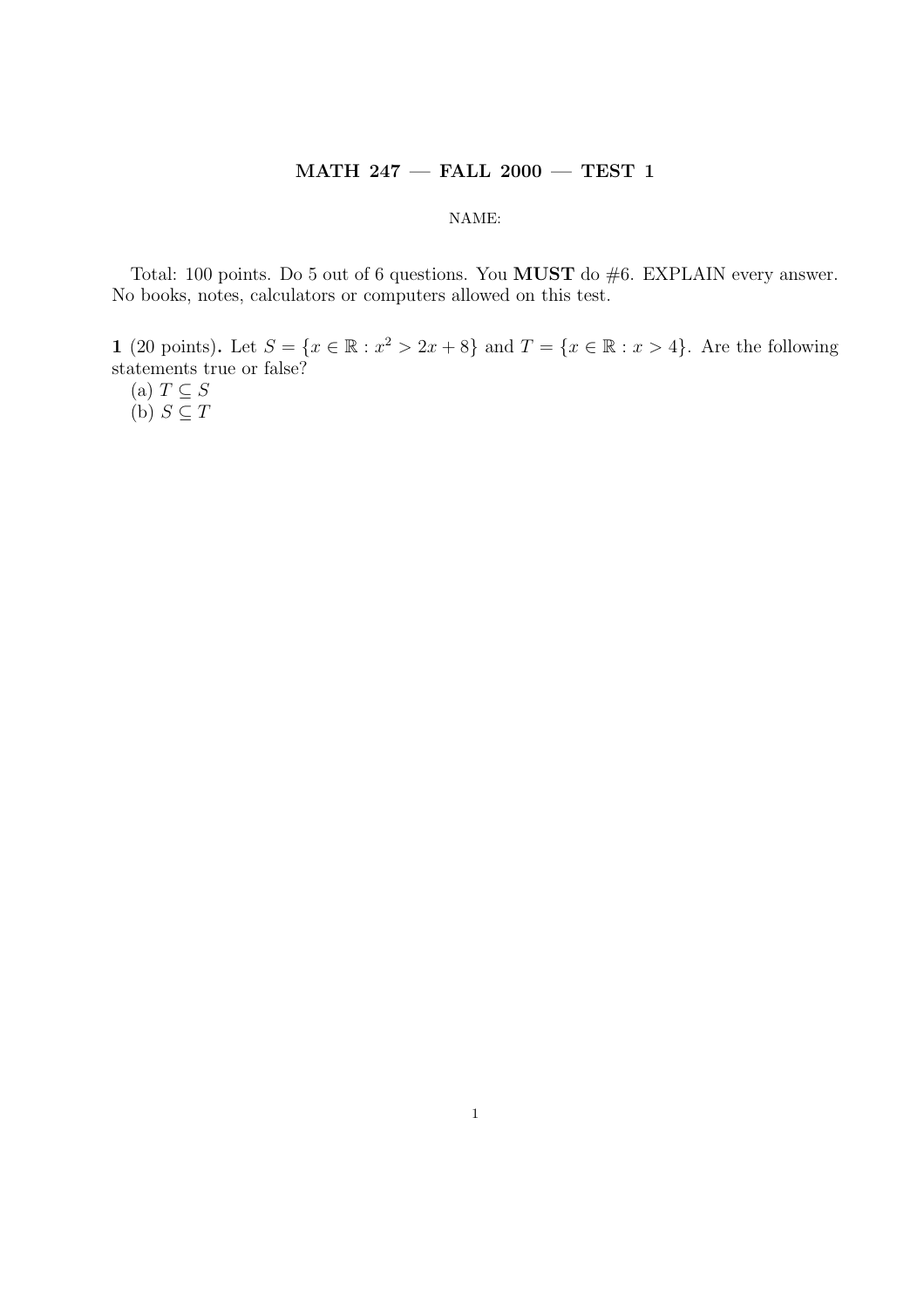## MATH 247 — FALL 2000 — TEST 1

## NAME:

Total: 100 points. Do 5 out of 6 questions. You **MUST** do #6. EXPLAIN every answer. No books, notes, calculators or computers allowed on this test.

1 (20 points). Let  $S = \{x \in \mathbb{R} : x^2 > 2x + 8\}$  and  $T = \{x \in \mathbb{R} : x > 4\}$ . Are the following statements true or false?

(a)  $T \subseteq S$ (b)  $S \subseteq T$ 

1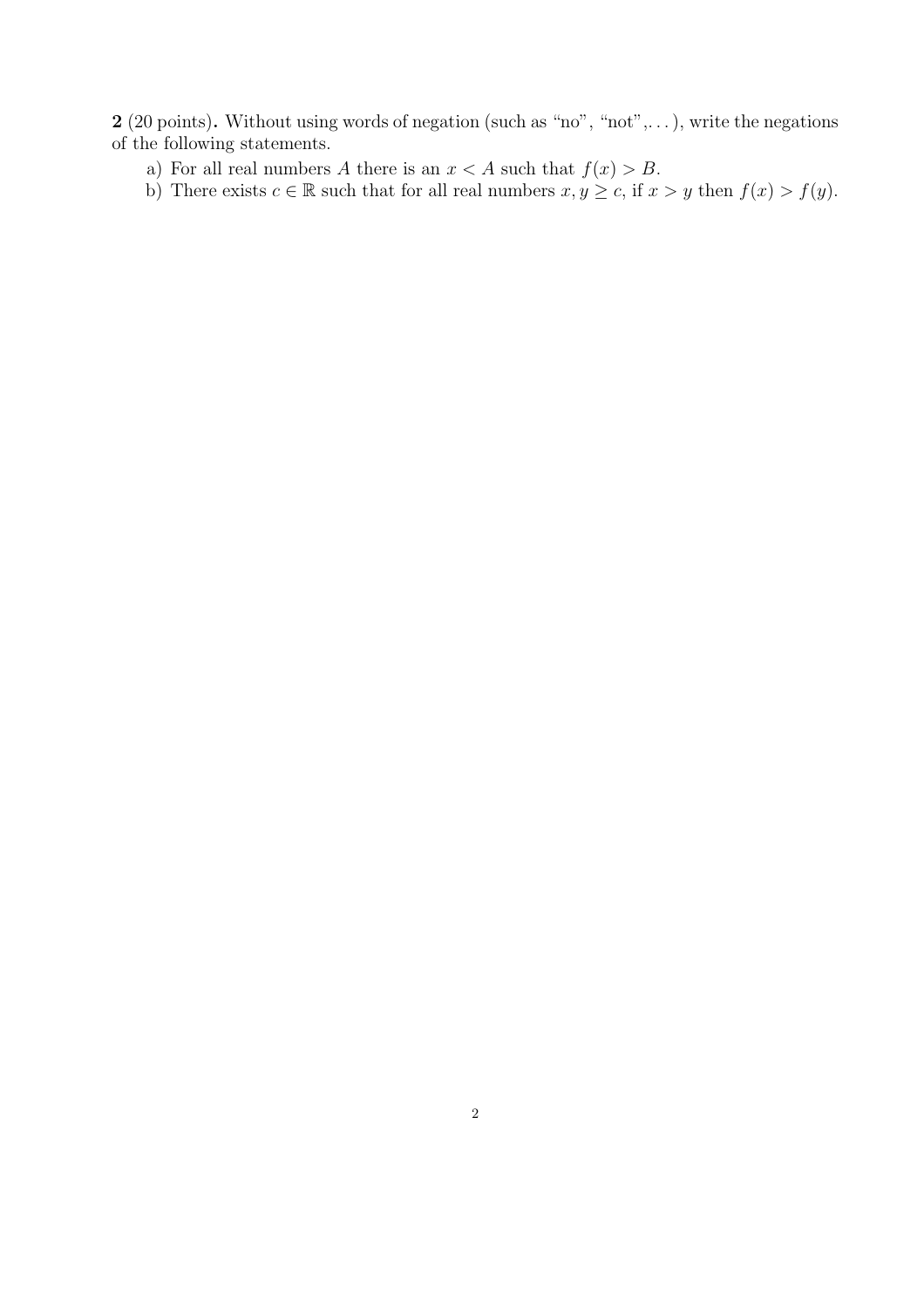2 (20 points). Without using words of negation (such as "no", "not",...), write the negations of the following statements.

a) For all real numbers A there is an  $x < A$  such that  $f(x) > B$ .

b) There exists  $c \in \mathbb{R}$  such that for all real numbers  $x, y \geq c$ , if  $x > y$  then  $f(x) > f(y)$ .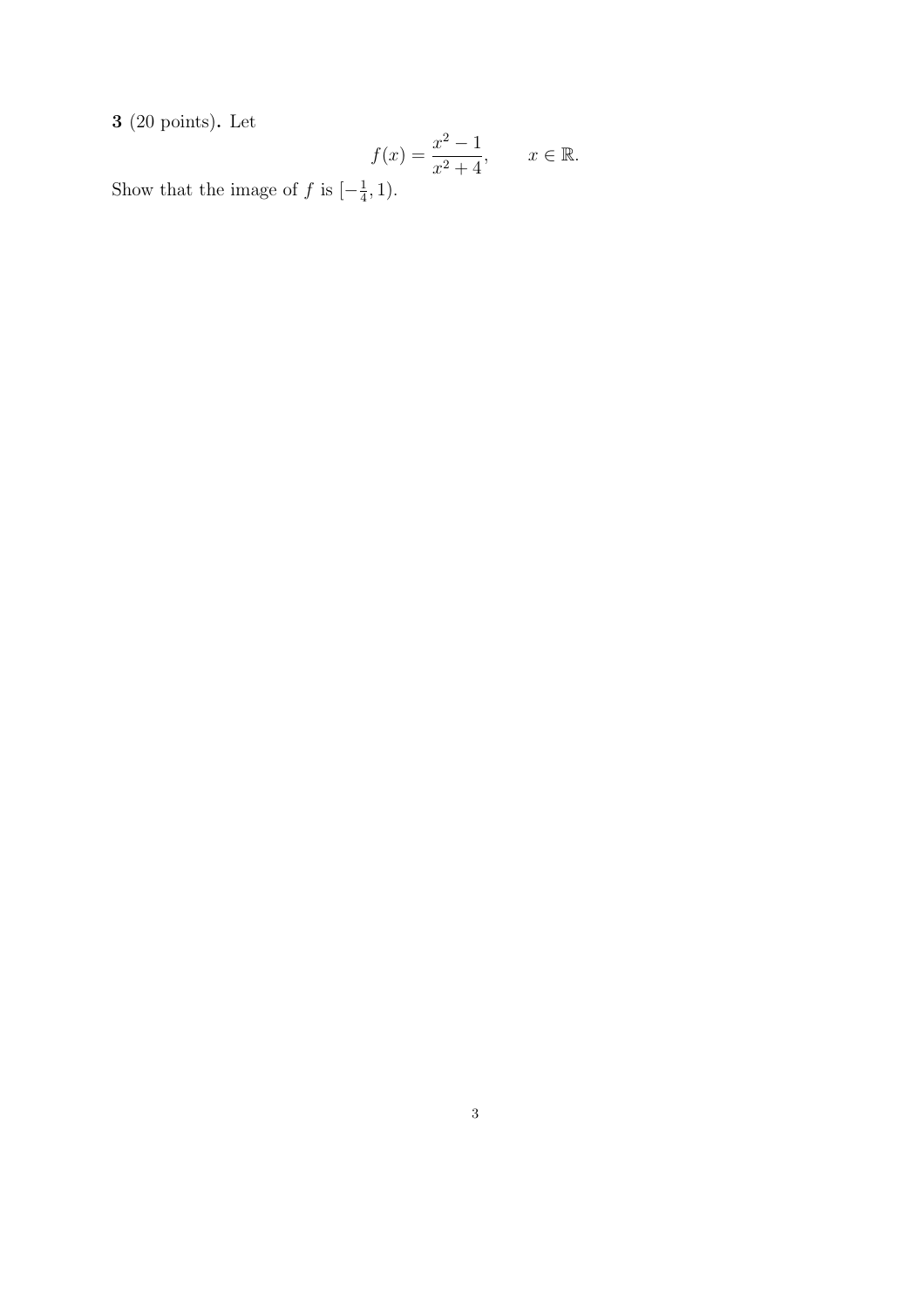$\bf3$  (20 points). Let

$$
f(x) = \frac{x^2 - 1}{x^2 + 4}, \quad x \in \mathbb{R}.
$$

Show that the image of f is  $\left[-\frac{1}{4}\right]$  $\frac{1}{4}, 1$ ).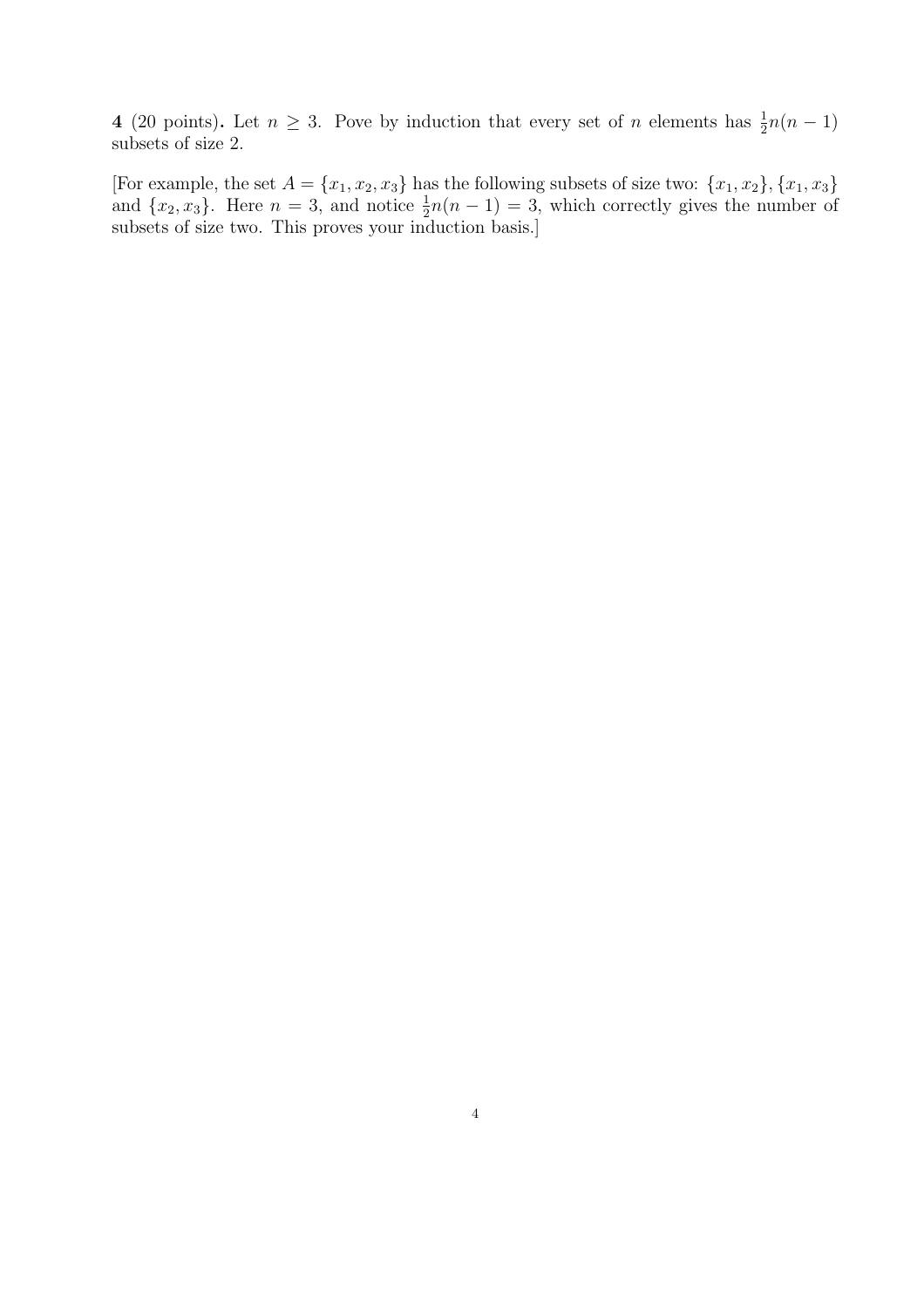4 (20 points). Let  $n \geq 3$ . Pove by induction that every set of n elements has  $\frac{1}{2}n(n-1)$ subsets of size 2.

[For example, the set  $A = \{x_1, x_2, x_3\}$  has the following subsets of size two:  $\{x_1, x_2\}, \{x_1, x_3\}$ and  $\{x_2, x_3\}$ . Here  $n = 3$ , and notice  $\frac{1}{2}n(n-1) = 3$ , which correctly gives the number of subsets of size two. This proves your induction basis.]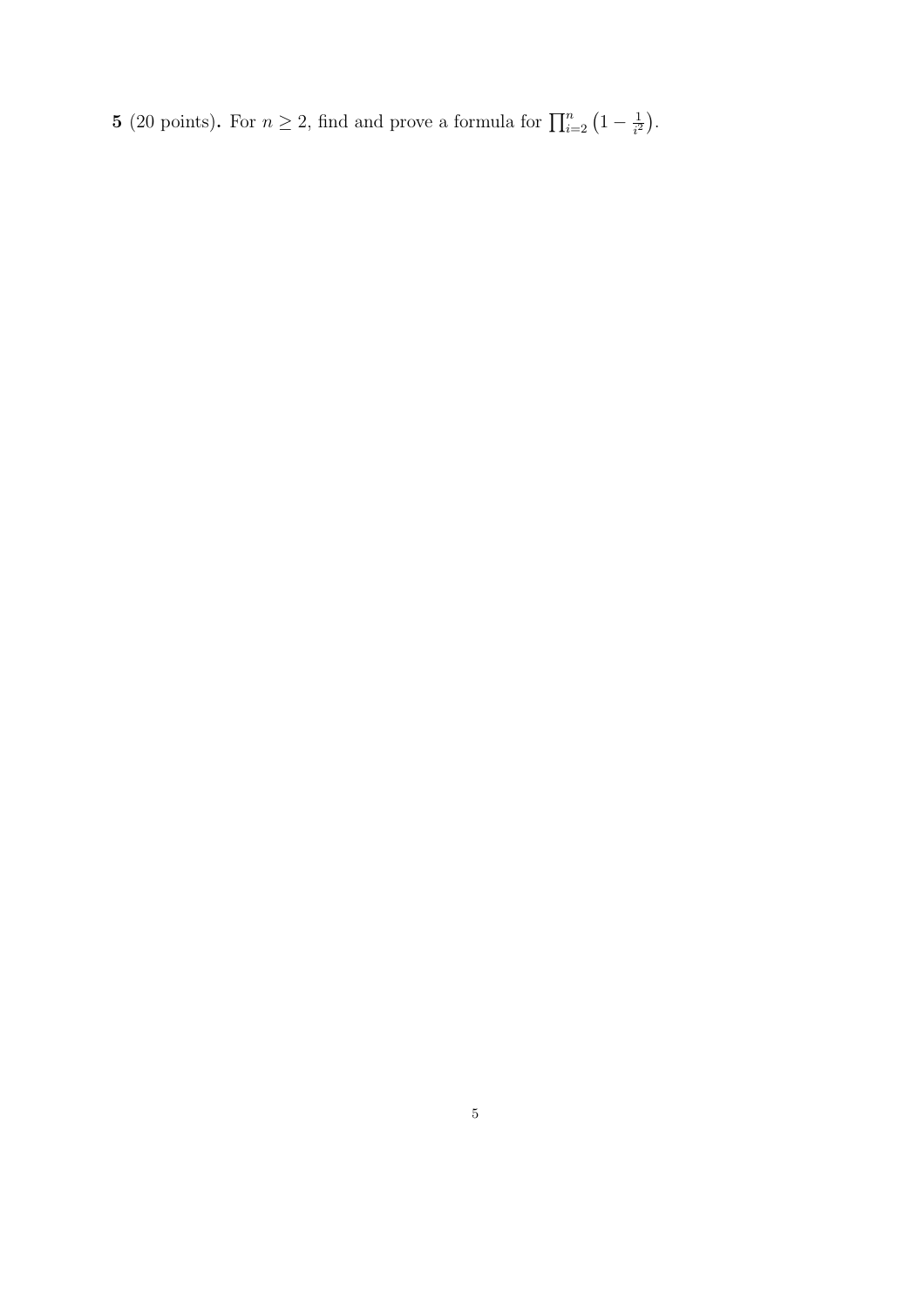5 (20 points). For  $n \ge 2$ , find and prove a formula for  $\prod_{i=2}^{n} (1 - \frac{1}{i^2})$ .